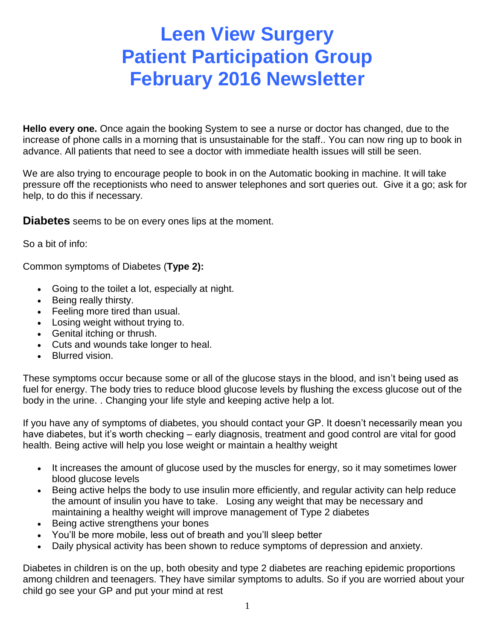# **Leen View Surgery Patient Participation Group February 2016 Newsletter**

**Hello every one.** Once again the booking System to see a nurse or doctor has changed, due to the increase of phone calls in a morning that is unsustainable for the staff.. You can now ring up to book in advance. All patients that need to see a doctor with immediate health issues will still be seen.

We are also trying to encourage people to book in on the Automatic booking in machine. It will take pressure off the receptionists who need to answer telephones and sort queries out. Give it a go; ask for help, to do this if necessary.

**Diabetes** seems to be on every ones lips at the moment.

So a bit of info:

Common symptoms of Diabetes (**Type 2):**

- Going to the toilet a lot, especially at night.
- Being really thirsty.
- Feeling more tired than usual.
- Losing weight without trying to.
- Genital itching or thrush.
- Cuts and wounds take longer to heal.
- Blurred vision.

These symptoms occur because some or all of the glucose stays in the blood, and isn't being used as fuel for energy. The body tries to reduce blood glucose levels by flushing the excess glucose out of the body in the urine. . Changing your life style and keeping active help a lot.

If you have any of symptoms of diabetes, you should contact your GP. It doesn't necessarily mean you have diabetes, but it's worth checking – early diagnosis, treatment and good control are vital for good health. Being active will help you lose weight or maintain a healthy weight

- It increases the amount of glucose used by the muscles for energy, so it may sometimes lower blood glucose levels
- Being active helps the body to use insulin more efficiently, and regular activity can help reduce the amount of insulin you have to take. Losing any weight that may be necessary and maintaining a healthy weight will improve management of Type 2 diabetes
- Being active strengthens your bones
- You'll be more mobile, less out of breath and you'll sleep better
- Daily physical activity has been shown to reduce symptoms of depression and anxiety.

Diabetes in children is on the up, both obesity and type 2 diabetes are reaching epidemic proportions among children and teenagers. They have similar symptoms to adults. So if you are worried about your child go see your GP and put your mind at rest